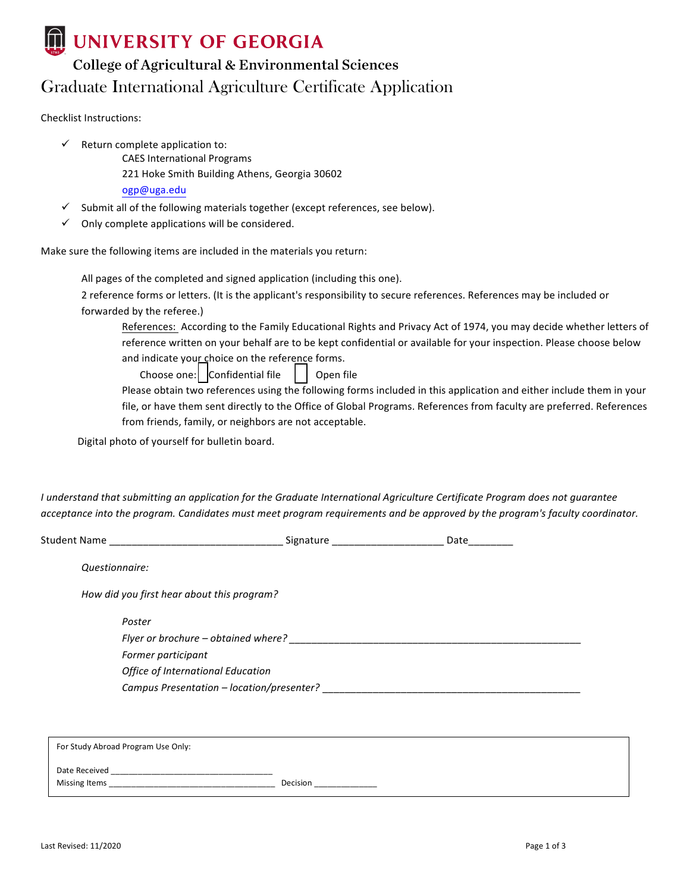## UNIVERSITY OF GEORGIA

## College of Agricultural & Environmental Sciences Graduate International Agriculture Certificate Application

Checklist Instructions:

- $\checkmark$  Return complete application to:
	- CAES International Programs
	- 221 Hoke Smith Building Athens, Georgia 30602
	- ogp@uga.edu
- Submit all of the following materials together (except references, see below).
- Only complete applications will be considered.

Make sure the following items are included in the materials you return:

All pages of the completed and signed application (including this one).

2 reference forms or letters. (It is the applicant's responsibility to secure references. References may be included or forwarded by the referee.)

References: According to the Family Educational Rights and Privacy Act of 1974, you may decide whether letters of reference written on your behalf are to be kept confidential or available for your inspection. Please choose below and indicate your choice on the reference forms.

Choose one:  $\vert$  Confidential file  $\vert$   $\vert$  Open file

Please obtain two references using the following forms included in this application and either include them in your file, or have them sent directly to the Office of Global Programs. References from faculty are preferred. References from friends, family, or neighbors are not acceptable.

Digital photo of yourself for bulletin board.

*I* understand that submitting an application for the Graduate International Agriculture Certificate Program does not guarantee acceptance into the program. Candidates must meet program requirements and be approved by the program's faculty coordinator.

| Signature | Date                                                                                                                                                                |
|-----------|---------------------------------------------------------------------------------------------------------------------------------------------------------------------|
|           |                                                                                                                                                                     |
|           |                                                                                                                                                                     |
|           |                                                                                                                                                                     |
|           |                                                                                                                                                                     |
|           |                                                                                                                                                                     |
|           |                                                                                                                                                                     |
|           |                                                                                                                                                                     |
|           | How did you first hear about this program?<br>Flyer or brochure – obtained where?<br>Office of International Education<br>Campus Presentation - location/presenter? |

For Study Abroad Program Use Only: Date Received Missing Items **and Contract Contract Contract Contract Contract Contract Contract Contract Contract Contract Contract Contract Contract Contract Contract Contract Contract Contract Contract Contract Contract Contract Contr**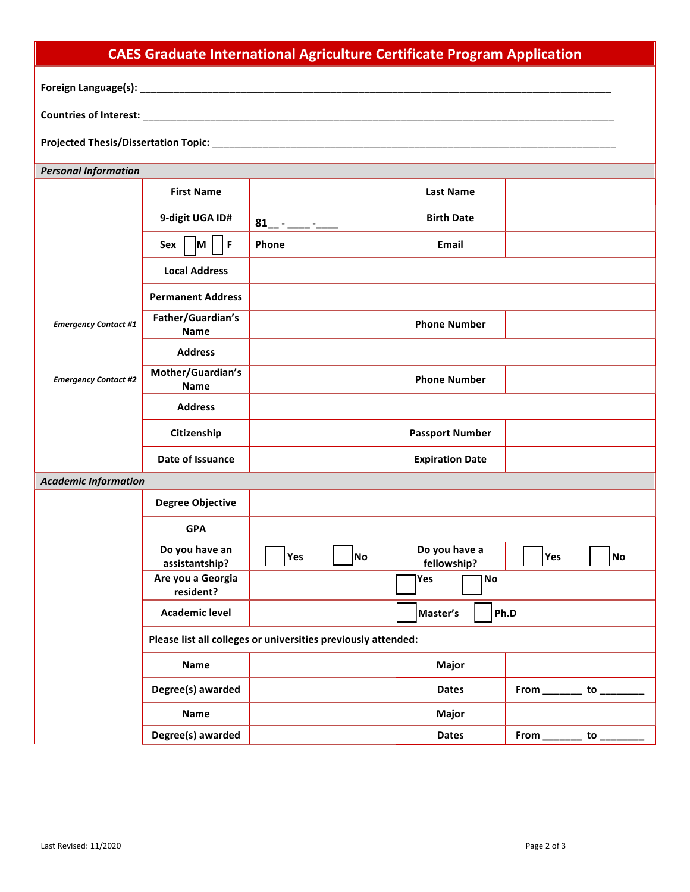| <b>CAES Graduate International Agriculture Certificate Program Application</b> |                                  |                                                               |                              |                                                 |  |
|--------------------------------------------------------------------------------|----------------------------------|---------------------------------------------------------------|------------------------------|-------------------------------------------------|--|
|                                                                                |                                  |                                                               |                              |                                                 |  |
|                                                                                |                                  |                                                               |                              |                                                 |  |
|                                                                                |                                  |                                                               |                              |                                                 |  |
|                                                                                |                                  |                                                               |                              |                                                 |  |
| <b>Personal Information</b>                                                    |                                  |                                                               |                              |                                                 |  |
|                                                                                | <b>First Name</b>                |                                                               | <b>Last Name</b>             |                                                 |  |
|                                                                                | 9-digit UGA ID#                  | $81 - -$                                                      | <b>Birth Date</b>            |                                                 |  |
|                                                                                | F<br> M  <br>Sex                 | Phone                                                         | Email                        |                                                 |  |
|                                                                                | <b>Local Address</b>             |                                                               |                              |                                                 |  |
|                                                                                | <b>Permanent Address</b>         |                                                               |                              |                                                 |  |
| <b>Emergency Contact #1</b>                                                    | Father/Guardian's<br>Name        |                                                               | <b>Phone Number</b>          |                                                 |  |
|                                                                                | <b>Address</b>                   |                                                               |                              |                                                 |  |
| <b>Emergency Contact #2</b>                                                    | Mother/Guardian's<br><b>Name</b> |                                                               | <b>Phone Number</b>          |                                                 |  |
|                                                                                | <b>Address</b>                   |                                                               |                              |                                                 |  |
|                                                                                | Citizenship                      |                                                               | <b>Passport Number</b>       |                                                 |  |
|                                                                                | Date of Issuance                 |                                                               | <b>Expiration Date</b>       |                                                 |  |
| <b>Academic Information</b>                                                    |                                  |                                                               |                              |                                                 |  |
|                                                                                | <b>Degree Objective</b>          |                                                               |                              |                                                 |  |
|                                                                                | <b>GPA</b>                       |                                                               |                              |                                                 |  |
|                                                                                | Do you have an<br>assistantship? | $\Box$<br>$\Box$<br>Yes<br><b>No</b>                          | Do you have a<br>fellowship? | $\Box$<br>$\overline{\phantom{0}}$<br>Yes<br>No |  |
|                                                                                | Are you a Georgia<br>resident?   |                                                               | Yes<br>No                    |                                                 |  |
|                                                                                | <b>Academic level</b>            |                                                               | Master's                     | Ph.D                                            |  |
|                                                                                |                                  | Please list all colleges or universities previously attended: |                              |                                                 |  |
|                                                                                | <b>Name</b>                      |                                                               | Major                        |                                                 |  |
|                                                                                | Degree(s) awarded                |                                                               | <b>Dates</b>                 | From _________ to ___                           |  |
|                                                                                | Name                             |                                                               | Major                        |                                                 |  |
|                                                                                | Degree(s) awarded                |                                                               | <b>Dates</b>                 | to $\overline{\phantom{a}}$                     |  |